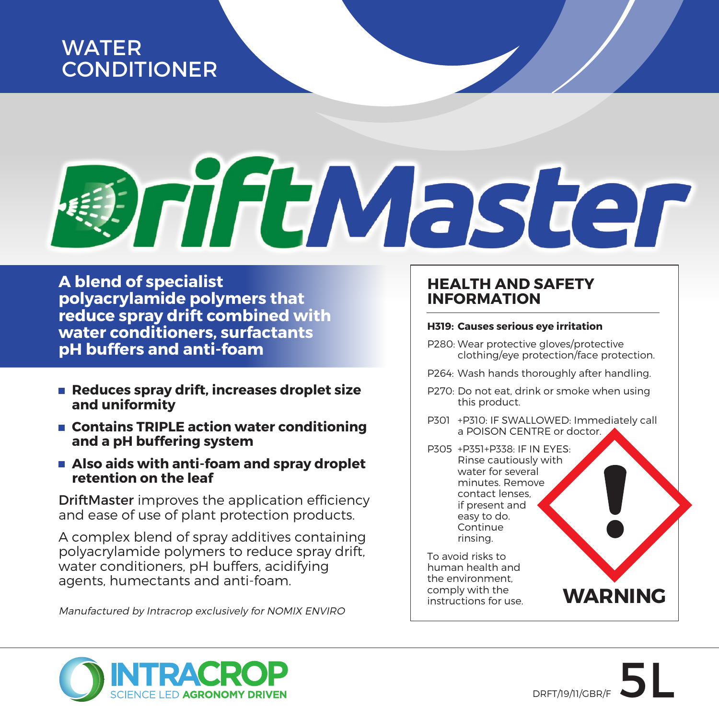# WATER **CONDITIONER**

# **IniftMaster**

**A blend of specialist polyacrylamide polymers that reduce spray drift combined with water conditioners, surfactants pH buffers and anti-foam** 

- Reduces spray drift, increases droplet size **and uniformity**
- Contains TRIPLE action water conditioning **and a pH buffering system**
- **Also aids with anti-foam and spray droplet retention on the leaf**

DriftMaster improves the application efficiency and ease of use of plant protection products.

A complex blend of spray additives containing polyacrylamide polymers to reduce spray drift, water conditioners, pH buffers, acidifying agents, humectants and anti-foam.

Manufactured by Intracrop exclusively for NOMIX ENVIRO

## **HEALTH AND SAFETY INFORMATION**

### **H319: Causes serious eye irritation**

- P280: Wear protective gloves/protective clothing/eye protection/face protection.
- P264: Wash hands thoroughly after handling.
- P270: Do not eat, drink or smoke when using this product.
- P301 +P310: IF SWALLOWED: Immediately call a POISON CENTRE or doctor.

P305 +P351+P338: IF IN EYES: Rinse cautiously with water for several minutes. Remove contact lenses, if present and easy to do. **Continue** rinsing.

To avoid risks to human health and the environment, comply with the<br>instructions for use.



**WARNING**